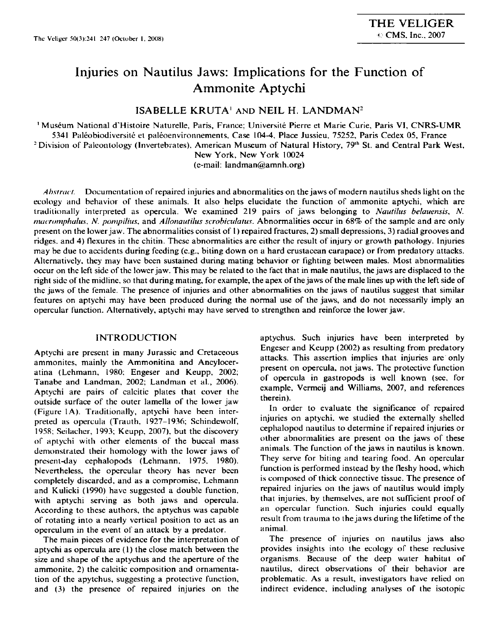# **Injuries on Nautilus Jaws: Implications for the Function of Ammonite Aptychi**

**ISABELLE KRUTA<sup>1</sup> AND NEIL H. LANDMAN<sup>2</sup>** 

1 Museum National d'Histoire Naturelle, Paris, France; Universile Pierre et Marie Curie, Paris VI, CNRS-UMR 5341 Paleobiodiversite et paleoenvironnements, Case 104-4, Place Jussieu, 75252, Paris Cedex 05, France <sup>2</sup> Division of Paleontology (Invertebrates), American Museum of Natural History, 79<sup>th</sup> St. a<mark>nd Central Park West</mark>, New York, New York 10024 (e-mail: [landman@amnh.org\)](mailto:landman@amnh.org) 

*Abstract.* Documentation of repaired injuries and abnormalities on the jaws of modern nautilus sheds light on the ecology and behavior of these animals. It also helps elucidate the function of ammonite aptychi, which are traditionally interpreted as opercula. We examined 219 pairs of jaws belonging to *Nautilus belauensis, N. mucmmphulus, N. pompilius,* and *Allonautilus scrobiculatus.* Abnormalities occur in 68% of the sample and are only present on the lower jaw. The abnormalities consist of I) repaired fractures, 2) small depressions, 3) radial grooves and ridges, and 4) flexures in the chitin. These abnormalities arc cither the result of injury or growth pathology. Injuries may be due to accidents during feeding (e.g., biting down on a hard crustacean carapace) or from predatory attacks. Alternatively, they may have been sustained during mating behavior or fighting between males. Most abnormalities occur on the left side of the lower jaw. This may be related to the fact that in male nautilus, the jaws are displaced to the right side of the midline, so that during mating, for example, the apex of the jaws of the male lines up with the left side of the jaws of the female. The presence of injuries and other abnormalities on the jaws of nautilus suggest that similar features on aptychi may have been produced during the normal use of the jaws, and do not necessarily imply an opercular function. Alternatively, aptychi may have served to strengthen and reinforce the lower jaw.

### **INTRODUCTION**

Aptychi are present in many Jurassic and Cretaceous ammonites, mainly the Ammonitina and Ancyloceratina (Lchmann, 1980: Engeser and Keupp, 2002; Tanabe and Landman, 2002; Landman et al., 2006). Aptychi are pairs of calcitic plates that cover the outside surface of the outer lamella of the lower jaw (Figure 1A). Traditionally, aptychi have been interpreted as opercula (Trauth. 1927-1936; Schindewolf, 1958; Seilacher, 1993; Keupp, 2007). but the discovery of aptychi with other elements of the buccal mass demonstrated their homology with the lower jaws of present-day cephalopods (Lehmann. 1975, 1980). Nevertheless, the opercular theory has never been completely discarded, and as a compromise, Lchmann and Kulicki (1990) have suggested a double function, with aptychi serving as both jaws and opercula. According to these authors, the aptychus was capable of rotating into a nearly vertical position to act as an operculum in the event of an attack by a predator.

The main pieces of evidence for the interpretation of aptychi as opercula are (1) the close match between the size and shape of the aptychus and the aperture of the ammonite. 2) the calcitic composition and ornamentation of the apytchus, suggesting a protective function, and (3) the presence of repaired injuries on the

aptychus. Such injuries have been interpreted by Engeser and Keupp (2002) as resulting from predatory attacks. This assertion implies that injuries are only present on opercula, not jaws. The protective function of opercula in gastropods is well known (see. Tor example, Vermeij and Williams, 2007, and references therein).

In order to evaluate the significance of repaired injuries on aptychi. we studied the externally shelled cephalopod nautilus to determine if repaired injuries or other abnormalities are present on the jaws of these animals. The function of the jaws in nautilus is known. They serve for biting and tearing food. An opercular function is performed instead by the fleshy hood, which is composed of thick connective tissue. The presence of repaired injuries on the jaws of nautilus would imply that injuries, by themselves, are not sufficient proof of an opercular function. Such injuries could equally result from trauma to the jaws during the lifetime of the animal.

The presence of injuries on nautilus jaws also provides insights into the ecology of these reclusive organisms. Because of the deep water habitat of nautilus, direct observations of their behavior are problematic. As a result, investigators have relied on indirect evidence, including analyses of the isotopic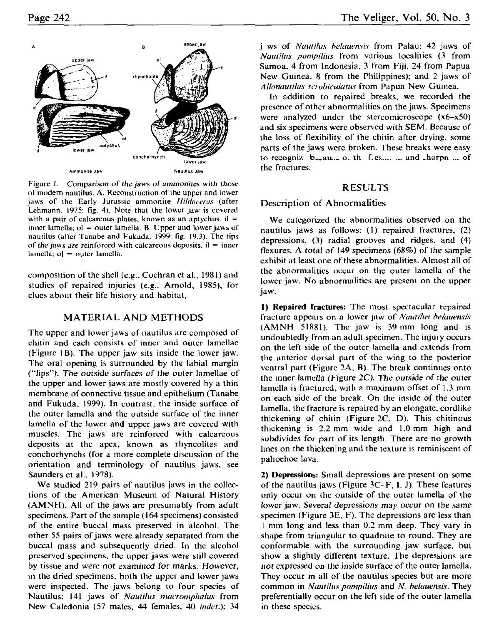

Figure 1. Comparison of the jaws of ammonites with those of modern nautilus. A. Reconstruction of the upper and lower jaws of the Early Jurassic ammonite *Hildoveras* (after Lehmann, 1975: fig. 4). Note that the lower jaw is covered with a pair of calcareous plates, known as an aptychus,  $il =$ inner lamella;  $ol = outer$  lamella. B. Upper and lower jaws of nautilus (after Tanabe and Fukada, 1999: fig. 19.3). The tips *of the jaws are reinforced with calcareous deposits,*  $il = inner$  $lamella$ ;  $o$ ] = outer lamella.

composition of the shell (e.g., Cochran et al., 1981) and studies of repaired injuries (e.g.. Arnold, 1985), for clucs about their life history and habitat,

## **MATERIAL AND METHODS**

The upper and lower jaws of nautilus arc composed of chitin and each consists of inner and outer lamellae (Figure 1B). The upper jaw sits inside the lower jaw. The oral opening is surrounded by the labial margin ("lips"). The outside surfaces of the outer lamellae of the upper and lower jaws are mostly covered by a thin membrane of connective tissue and epithelium (Tanabe and Fukuda, 1999). In contrast, the inside surface of the outer lamella and the outside surface of the inner lamella of the lower and upper jaws are covered with muscles. The jaws are reinforced with calcareous deposits at the apex, known as rhyncolites and conchorhynchs (for a more complete discussion of the orientation and terminology of nautilus jaws, see Saunders et al., 1978).

We studied 219 pairs of nautilus jaws in the collections of the American Museum of Natural History (AMNH). All of the jaws are presumably from adult specimens. Part of the sample (164 specimens) consisted of the entire buccal mass preserved in alcohol. The other 55 pairs of jaws were already separated from the buccal mass and subsequently dried. In the alcohol preserved specimens, the upper jaws were still covered by tissue and were not examined *for* marks. However, in the dried specimens, both the upper and lower jaws were inspected. The jaws belong to four species of Nautilus: 141 jaws of *Nautilus macromphalus* from New Caledonia (57 males, 44 females, 40 *indet.):* 34 jaws of *Nautilus belauensis* from Palau; 42 jaws of *Nautilus pompilius* from various localities (3 from Samoa, 4 from Indonesia, 3 from Fiji, 24 from Papua New Guinea, 8 from the Philippines); and 2 jaws of *Allonautilus scrobiculatus* from Papua New Guinea.

In addition to repaired breaks, we recorded the presence of other abnormalities on the jaws. Specimens were analyzed under the stereomicroscope (x6-x50) and six specimens were observed with SEM. Because of the loss of flexibility of the chitin after drying, some parts of the jaws were broken. These breaks were easy to recognize because of the fresh is and sharpness of the fractures.

# **RESULTS**

# **Description of Abnormalities**

We categorized the abnormalities observed on the nautilus jaws as follows: (1) repaired fractures, (2) depressions, (3) radial grooves and ridges, and (4) flexures. A total *of 149 specimens (68%)* of the sample exhibit at least one of these abnormalities. Almost all of the abnormalities occur on the outer lamella of the lower jaw. No abnormalities are present on the upper jaw.

**1) Repaired fractures:** The most spectacular repaired fracture appears on a lower jaw of *Nautilus belauensis*  (AMNH 51881). The jaw is 39 mm long and is undoubtedly from an adult specimen. The injury occurs on the left side of the outer lamella and extends from the anterior dorsal part of the wing to the posterior ventral part (Figure 2A, B). The break continues onto the inner lamella (Figure *2C). The outside of* the outer lamella is fractured, with a maximum offset of 1.3 mm on each side of the break. On the inside of the outer lamella, the fracture is repaired by an elongate, cordlike thickening of chitin (Figure 2C. D). This chitinous thickening is 2.2 mm wide and 1.0 mm high and subdivides for part of its length. There are no growth lines on the thickening and the texture is reminiscent of pahoehoe lava.

**2) Depressions:** Small depressions are present on some of the nautilus jaws (Figure  $3C-F$ , I. J). These features only occur on the outside of the outer lamella of the lower jaw. Several depressions may *occur* on the same specimen (Figure 3E, F). The depressions are less than 1 mm long and less than 0.2 mm deep. They vary in shape from triangular to quadrate to round. They are conformable with the surrounding jaw surface, but show a slightly different texture. The depressions are *not* expressed on the inside surface of the outer lamella. They occur in all of the nautilus species but are more common in *Nautilus pompilius* and *N. belauensis.* They preferentially occur on the left side of the outer lamella in these species.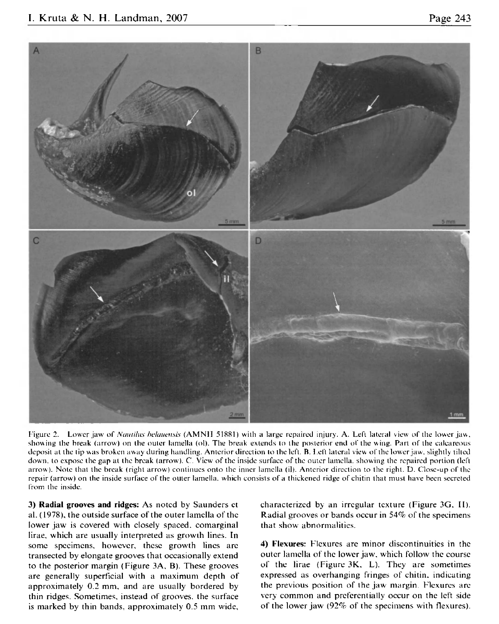

Figure 2. Lower jaw of *Nautilus belauensis* (AMNH 51881) with a large repaired injury. A. Left lateral view of the lower jaw, showing the hreak (arrow) on the ouler lamella (ol). The break extends lo the posterior end ol" the wing. Part of the calcareous deposit at the lip was broken away during handling. Anterior direction lo the left. B. I.eft lateral view of the lower jaw. slightly tilled down, to expose the gap at the break (arrow). C. View of the inside surface of the outer lamella, showing the repaired portion (left arrow). Note that the break (right arrow) continues onto the inner lamella (il). Anterior direction to the right. D. Close-up of the repair (arrow) on the inside surface of the outer lamella, which consists of a thickened ridge of chitin that must have been secreted from the inside.

3) Radial grooves and ridges: As noted by Saunders ct al. (1978), the outside surface of the outer lamella of the lower jaw is covered with closely spaced, comarginal lirae, which are usually interpreted as growth lines. In some specimens, however, these growth lines are transected by elongate grooves that occasionally extend to the posterior margin (Figure 3A. B). These grooves are generally superficial with a maximum depth of approximately 0.2 mm. and are usually bordered by thin ridges. Sometimes, instead of grooves, the surface is marked by thin bands, approximately 0.5 mm wide. characterized by an irregular texture (Figure 3G, II). Radial grooves or bands occur in 54% of the specimens that show abnormalities.

4) Klexures: Flexures are minor discontinuities in the outer lamella of the lower jaw, which follow the course of the lirae (Figure 3K, L). They are sometimes expressed as overhanging fringes of chitin. indicating the previous position of the jaw margin Flexures are very common and preferentially occur on the left side of the lower jaw (92% of the specimens with flexures).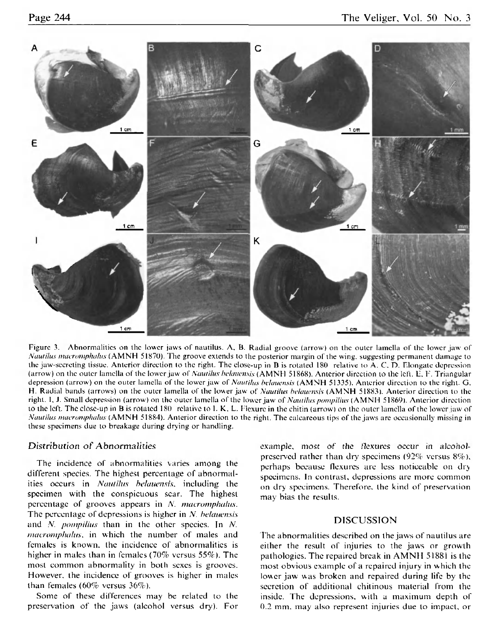

Figure 3. Abnormalities on the lower jaws of nautilus. A, B. Radial groove (arrow) on the outer lamella of the lower jaw of *Nautilus macromphalus* (AMNH 51870). The groove extends to the posterior margin of the wing, suggesting permanent damage to the jaw-secreting tissue. Anterior direction to the right. The close-up in B is rotated 180 relative to A. C. D. Elongate depression (arrow) on the outer lamella of the lower jaw of *Nautilus helauensis* (AMNH 51868). Anterior direction to the left. E, F. Triangular depression (arrow ) on the outer lamella of the lower jaw of *Nautilus helaucnsis* (AMN H 51335). Anterior direction lo the right. G. H. Radial bands (arrows) on the outer lamella of the lower jaw of *Nautilus bdauensis* (AMN H 518831. Anterior direction to (he right. 1, J. Small depression (arrow) on the outer lamella of the lower jaw of *Nautilus pompilius* (AMNH 51869). Anterior direction to the left. The close-up in B is rotated 180 relative to 1. K, L. Flexure in the chitin (arrow) on the outer lamella of the lower jaw of *Nautilus macrumphulus* (AMN H 51884). Anterior direction to the right. The calcareous tips of the jaws are occasionally missing in these specimens due to breakage during drying or handling.

### Distribution of Abnormalities

The incidence of abnormalities varies among the different species. The highest percentage of abnormalities occurs in *Nautilus belauensis*, including the specimen with the conspicuous scar. The highest percentage of grooves appears in A', *macromphahts.*  The percentage of depressions is higher in N. *belauensis* and N. *pompilius* than in the other species. In N. *macromphalus*, in which the number of males and females is known, the incidence of abnormalities is higher in males than in females (70% versus 55%). The most common abnormality in both sexes is grooves. However, the incidence of grooves is higher in males than females (60% versus 36%).

Some of these differences may be related to the preservation of the jaws (alcohol versus dry). For example, most of the flexures occur in alcoholprescrvcd rather than dry specimens (92% versus 8%), perhaps becausc flexures are less noticeable on dry specimens. In contrast, depressions are more common on dry specimens. Therefore, the kind of preservation may bias the results.

## **DISCUSSION**

The abnormalities described on the jaws of nautilus are either the result of injuries to the jaws or growth pathologies. The repaired break in AMNH 51881 is the most obvious example of a repaired injury in which the lower jaw was broken and repaired during life by the secretion of additional chitinous material from the inside. The depressions, with a maximum depth of 0.2 mm. may also represent injuries due to impact, or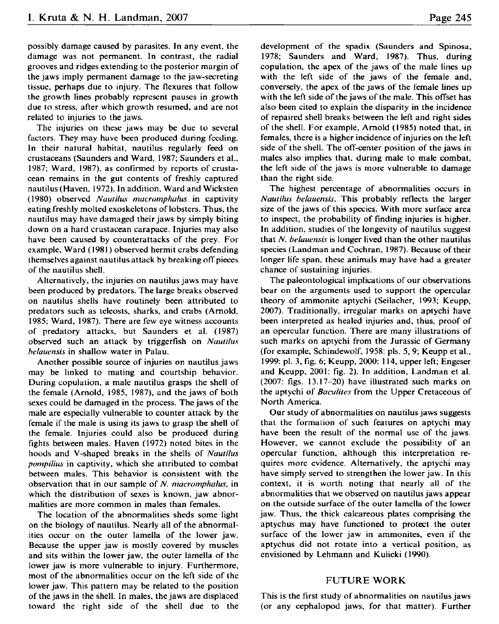possibly damage caused by parasites. In any event, the damage was not permanent. In contrast, the radial grooves and ridges extending to the posterior margin of the jaws imply permanent damage to the jaw-secreting tissue, perhaps due to injury. The flexures that follow the growth lines probably represent pauses in growth due to stress, after which growth resumed, and are not related to injuries to the jaws.

The injuries on these jaws may be due to several factors. They may have been produced during feeding. In their natural habitat, nautilus regularly feed on crustaceans (Saunders and Ward, 1987; Saunders et al., 1987; Ward, 1987), as confirmed by reports of crustacean remains in the gut contents of freshly captured nautilus (Haven, 1972). In addition, Ward and Wicksten (1980) observed *Nautilus macromphalus* in captivity eating freshly molted exoskeletons of lobsters. Thus, the nautilus may have damaged their jaws by simply biting down on a hard crustacean carapace. Injuries may also have been caused by counterattacks of the prey. For example. Ward (1981) observed hermit crabs defending themselves against nautilus attack by breaking off pieces of the nautilus shell.

Alternatively, the injuries on nautilus jaws may have been produced by predators. The large breaks observed on nautilus shells have routinely been attributed to predators such as teleosts, sharks, and crabs (Arnold, 1985; Ward, 1987). There are few eye witness accounts of predatory attacks, but Saunders et al. (1987) observed such an attack by triggerfish on *Nautilus belauensis* in shallow water in Palau.

Another possible source of injuries on nautilus jaws may be linked to mating and courtship behavior. During copulation, a male nautilus grasps the shell of the female (Arnold, 1985, 1987), and the jaws of both sexes could be damaged in the process. The jaws of the male are especially vulnerable to counter attack by the female if the male is using its jaws to grasp the shell of the female. Injuries could also be produced during fights between males. Haven (1972) noted bites in the hoods and V-shaped breaks in the shells of *Nautilus pompilius* in captivity, which she attributed to combat between males. This behavior is consistent with the observation that in our sample of *N. macromphalus*, in which the distribution of sexes is known, jaw abnormalities are more common in males than females.

The location of the abnormalities sheds some light on the biology of nautilus. Nearly all of the abnormalities occur on the outer lamella of the lower jaw. Because the upper jaw is mostly covered by muscles and sits within the lower jaw, the outer lamella of the lower jaw is more vulnerable to injury. Furthermore, most of the abnormalities occur on the left side of the lower jaw. This pattern may be related to the position of the jaws in the shell. In males, the jaws are displaced toward the right side of the shell due to the development of the spadix (Saunders and Spinosa, 1978; Saunders and Ward, 1987). Thus, during copulation, the apex of the jaws of the male lines up with the left side of the jaws of the female and, conversely, the apex of the jaws of the female lines up with the left side of the jaws of the male. This offset has also been cited to explain the disparity in the incidence of repaired shell breaks between the left and right sides of the shell. For example, Arnold (1985) noted that, in females, there is a higher incidence of injuries on the left side of the shell. The off-center position of the jaws in males also implies that, during male to male combat, the left side of the jaws is more vulnerable to damage than the right side.

The highest percentage of abnormalities occurs in *Nautilus belauensis.* This probably reflects the larger size of the jaws of this species. With more surface area to inspect, the probability of finding injuries is higher. In addition, studies of the longevity of nautilus suggest that *N. belauensis* is longer lived than the other nautilus species (Landman and Cochran, 1987). Because of their longer life span, these animals may have had a greater chance of sustaining injuries.

The paleontological implications of our observations bear on the arguments used to support the opercular theory of ammonite aptychi (Seilacher, 1993; Keupp, 2007). Traditionally, irregular marks on aptychi have been interpreted as healed injuries and, thus, proof of an opercular function. There are many illustrations of such marks on aptychi from the Jurassic of Germany (for example, Schindewolf, 1958; pis. 5, 9; Keupp et al., 1999: pi. 3, fig. 6; Keupp, 2000: 114, upper left; Engeser and Keupp, 2001: fig. 2). In addition, Landman et al. (2007: figs. 13.17-20) have illustrated such marks on the aptychi of *Baculites* from the Upper Cretaceous of North America.

Our study of abnormalities on nautilus jaws suggests that the formation of such features on aptychi may have been the result of the normal use of the jaws. However, we cannot exclude the possibility of an opercular function, although this interpretation requires more evidence. Alternatively, the aptychi may have simply served to strengthen the lower jaw. In this context, it is worth noting that nearly all of the abnormalities that we observed on nautilus jaws appear on the outside surface of the outer lamella of the lower jaw. Thus, the thick calcareous plates comprising the aptychus may have functioned to protect the outer surfacc of the lower jaw in ammonites, even if the aptychus did not rotate into a vertical position, as envisioned by Lehmann and Kulicki (1990).

#### **FUTURE WORK**

This is the first study of abnormalities on nautilus jaws (or any cephalopod jaws, for that matter). Further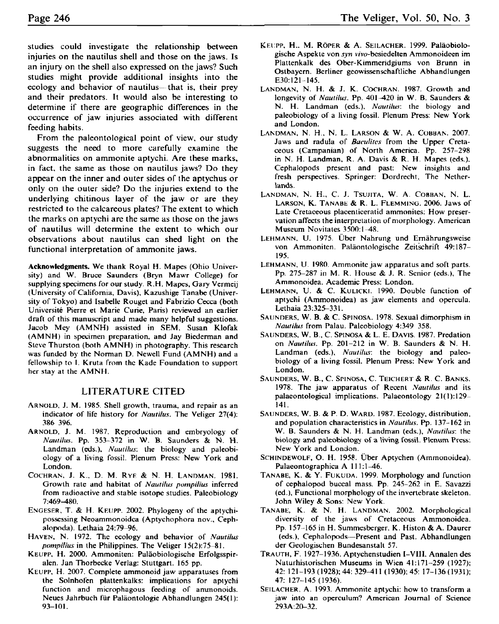studies could investigate the relationship between injuries on the nautilus shell and those on the jaws. Is an injury on the shell also expressed on the jaws? Such studies might provide additional insights into the ecology and behavior of nautilus—that is, their prev and their predators. It would also be interesting to determine if there are geographic differences in the occurrence of jaw injuries associated with different feeding habits.

From the paleontological point of view, our study suggests the need to more carefully examine the abnormalities on ammonite aptychi. Are these marks, in fact, the same as those on nautilus jaws? Do they appear on the inner and outer sides of the aptychus or only on the outer side? Do the injuries extend to the underlying chitinous layer of the jaw or are they restricted to the calcareous plates? The extent to which the marks on aptychi are the same as those on the jaws of nautilus will determine the extent to which our observations about nautilus can shed light on the functional interpretation of ammonite jaws.

**Acknowledgments.** We thank Royal H. Mapes (Ohio University) and W. Bruce Saunders (Bryn Mawr College) for supplying specimens for our study. R.H. Mapes, Gary Vermeij (University of California, Davis), Kazushige Tanabe (University of Tokyo) and Isabelle Rouget and Fabrizio Cecca (both Universite Pierre et Marie Curie, Paris) reviewed an earlier draft of this manuscript and made many helpful suggestions. Jacob Mey (AMNH) assisted in SEM, Susan Klofak (AMNH) in specimen preparation, and Jay Bicderman and Steve Thurston (both AMNH) in photography. This research was funded by the Norman D. Newell Fund (AMNH) and a fellowship to I. Kruta from the Kade Foundation to support her stay at the AMNH.

## **LITERATURE CITED**

- ARNOLD, J. M. 1985. Shell growth, trauma, and repair as an indicator of life history for *Nautilus.* The Veliger 27(4): 386 396.
- ARNOLD, J. M. 1987. Reproduction and embryology of *Nautilus.* Pp. 353-372 in W. B. Saunders &. N. H. Landman (eds.). *Nautilus:* the biology and paleobiology of a living fossil. Plenum Press: New York and London.
- COCHRAN, J. K., D. M. RYE & N. H. LANDMAN. 1981. Growth rale and habitat of *Nautilus pompilius* inferred from radioactive and stable isotope studies. Paleobiology 7:469-480.
- ENGESER, T. & H. KEUPP. 2002. Phylogeny of the aptychiposscssing Neoammonoidca (Aptychophora nov., Cephalopoda). Lethaia 24:79-96.
- HAVEN, N. 1972. The ecology and behavior of *Nautilus pompilius* in the Philippines. The Veliger 15(2):75-81.
- KEUPP, H. 2000. Ammoniten: Paläobiologische Erfolgsspiralen. Jan Thorbecke Verlag: Stuttgart. 165 pp.
- KEUPP, H. 2007. Complete ammonoid jaw apparatuses from the Solnhofen plattenkalks: implications for aptychi function and microphagous feeding of ammonoids. Neues Jahrbuch fur Palaontologie Abhandlungen 245(1): 93-101 .
- KEUPP, H., M. RÖPER & A. SEILACHER. 1999. Paläobiologische Aspekte von *syn* ww-besiedelten Ammonoideen im Plattenkalk des Ober-Kimmeridgiums von Brunn in Oslbaycm. Berliner geowissenschaftliche Abhandlungen E30:121-145.
- LANDMAN, N. H. & J. K. COCHRAN. 1987. Growth and longevity of *Nautilus.* Pp. 401 *420* in W. B. Saunders & N. H. Landman (eds.). *Nautilus',* the biology and paleobiology of a living fossil. Plenum Press: New York and London.
- LANDMAN, N. H., N. L. LARSON & W. A. COBBAN. 2007. Jaws and radula of *Baculites* from the Upper Cretaceous (Campanian) of North America. Pp. 257-298 in N. H. Landman, R. A. Davis & R. H. Mapes (eds.). Cephalopods present and past: New insights and fresh perspectives. Springer: Dordrecht, The Netherlands.
- LANDMAN, N. H., C. J. TSUJITA, W. A. COBBAN, N. L. LARSON, K. TANABE & R. L. FLEMMING. 2006. Jaws of Late Cretaceous placenticeratid ammonites: How preservation affects the interpretation of morphology. American Museum Novitates 3500:1-48.
- LEHMANN, U. 1975. Über Nahrung und Ernährungsweise von Ammoniten. Paläontologische Zeitschrift 49:187-195.
- LEHMANN, U. 1980. Ammonite jaw apparatus and soft parts. Pp. 275-287 in M. R. House & J. R. Senior (eds.). The Ammonoidea. Academic Press: London.
- LEHMANN, U. & C. KULICKI. 1990. Double function of aptychi (Ammonoidea) as jaw elements and opercula. Lethaia 23:325-331.
- SAUNDERS, W. B. & C. SPINOSA. 1978. Sexual dimorphism in *Nautilus* from Palau. Paleobiology 4:349 358.
- SAUNDERS, W. B., C. SPINOSA & L. E. DAVIS. 1987. Predation on *Nautilus.* Pp. 201-212 in W. B. Saunders & N. H. Landman (eds.). *Nautilus*: the biology and paleobiology of a living fossil. Plenum Press: New York and London.
- SAUNDERS, W . B., C . SPINOSA, C . TEICHERT & R. C . BANKS. 1978. The jaw apparatus of Recent *Nautilus* and its palaeontological implications. Palaeontology  $21(1): 129-$ 141.
- SAUNDERS, W. B. & P. D. WARD. 1987. Ecology, distribution, and population characteristics in *Nautilus.* Pp. 137-162 in W. B. Saunders & N. H. Landman (eds.). *Nautilus*: the biology and paleobiology of a living fossil. Plenum Press: New York and London.
- SCHINDEWOLF, O. H. 1958. Uber Aptychen (Ammonoidea). Palaeontographica A 111:1-46.
- TANABE, K. &. Y. FUKUDA. 1999. Morphology and function of cephalopod buccal mass. Pp. 245-262 in E. Savazzi (ed.), Functional morphology of the invertebrate skeleton. John Wiley & Sons: New York.
- TANABE, K. & N. H. LANDMAN. 2002. Morphological diversity of the jaws of Cretaceous Ammonoidea. Pp. 157-165 in H. Summesberger, K. Histon & A. Daurer (eds.), Cephalopods—Present and Past. Abhandlungen der Geologischen Bundesanstalt 57.
- TRAUTH, F. 1927-1936. Aptychenstudien I-VIII. Annalen des Naturhistorischen Museums in Wien 41:171-259 (1927); 42: 121-193 (1928); 44: 329—411 (1930): 45: 17-136(1931); 47: 127-145 (1936).
- SEILACHER. A. 1993. Ammonite aptychi: how to transform a jaw into an operculum? American Journal of Science 293A:20-32.